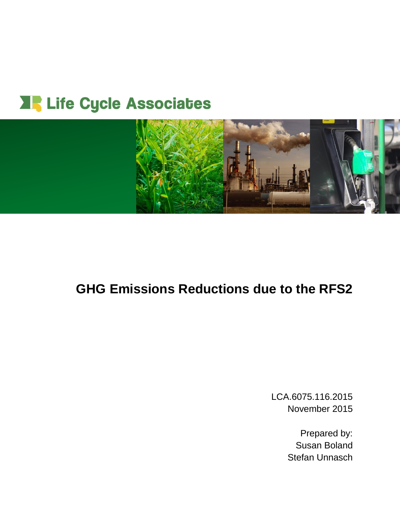



# **GHG Emissions Reductions due to the RFS2**

LCA.6075.116.2015 November 2015

> Prepared by: Susan Boland Stefan Unnasch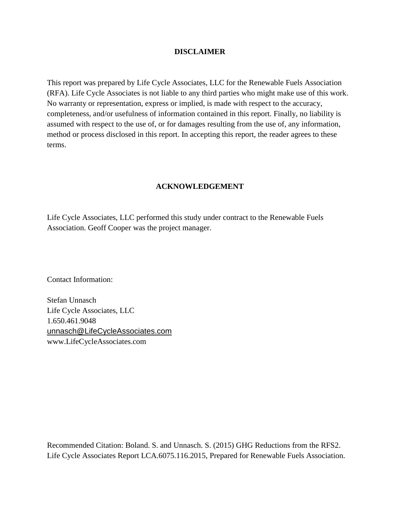#### **DISCLAIMER**

This report was prepared by Life Cycle Associates, LLC for the Renewable Fuels Association (RFA). Life Cycle Associates is not liable to any third parties who might make use of this work. No warranty or representation, express or implied, is made with respect to the accuracy, completeness, and/or usefulness of information contained in this report. Finally, no liability is assumed with respect to the use of, or for damages resulting from the use of, any information, method or process disclosed in this report. In accepting this report, the reader agrees to these terms.

#### **ACKNOWLEDGEMENT**

Life Cycle Associates, LLC performed this study under contract to the Renewable Fuels Association. Geoff Cooper was the project manager.

Contact Information:

Stefan Unnasch Life Cycle Associates, LLC 1.650.461.9048 [unnasch@LifeCycleAssociates.com](mailto:unnasch@LifeCycleAssociates.com) www.LifeCycleAssociates.com

Recommended Citation: Boland. S. and Unnasch. S. (2015) GHG Reductions from the RFS2. Life Cycle Associates Report LCA.6075.116.2015, Prepared for Renewable Fuels Association.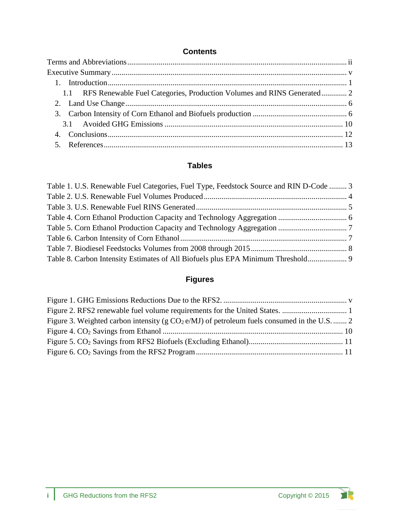#### **Contents**

| 1.1 RFS Renewable Fuel Categories, Production Volumes and RINS Generated 2 |  |
|----------------------------------------------------------------------------|--|
|                                                                            |  |
|                                                                            |  |
|                                                                            |  |
|                                                                            |  |
|                                                                            |  |

#### **Tables**

| Table 1. U.S. Renewable Fuel Categories, Fuel Type, Feedstock Source and RIN D-Code  3 |  |
|----------------------------------------------------------------------------------------|--|
|                                                                                        |  |
|                                                                                        |  |
|                                                                                        |  |
|                                                                                        |  |
|                                                                                        |  |
|                                                                                        |  |
| Table 8. Carbon Intensity Estimates of All Biofuels plus EPA Minimum Threshold 9       |  |

### **Figures**

| Figure 3. Weighted carbon intensity (g $CO2 e/MJ$ ) of petroleum fuels consumed in the U.S 2 |  |
|----------------------------------------------------------------------------------------------|--|
|                                                                                              |  |
|                                                                                              |  |
|                                                                                              |  |

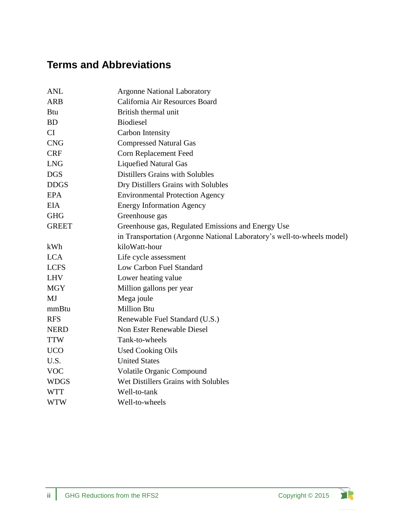# <span id="page-3-0"></span>**Terms and Abbreviations**

| <b>ANL</b>   | <b>Argonne National Laboratory</b>                                     |
|--------------|------------------------------------------------------------------------|
| <b>ARB</b>   | California Air Resources Board                                         |
| <b>Btu</b>   | British thermal unit                                                   |
| <b>BD</b>    | <b>Biodiesel</b>                                                       |
| CI           | Carbon Intensity                                                       |
| <b>CNG</b>   | <b>Compressed Natural Gas</b>                                          |
| <b>CRF</b>   | Corn Replacement Feed                                                  |
| <b>LNG</b>   | <b>Liquefied Natural Gas</b>                                           |
| <b>DGS</b>   | <b>Distillers Grains with Solubles</b>                                 |
| <b>DDGS</b>  | Dry Distillers Grains with Solubles                                    |
| <b>EPA</b>   | <b>Environmental Protection Agency</b>                                 |
| <b>EIA</b>   | <b>Energy Information Agency</b>                                       |
| <b>GHG</b>   | Greenhouse gas                                                         |
| <b>GREET</b> | Greenhouse gas, Regulated Emissions and Energy Use                     |
|              | in Transportation (Argonne National Laboratory's well-to-wheels model) |
| kWh          | kiloWatt-hour                                                          |
| <b>LCA</b>   | Life cycle assessment                                                  |
| <b>LCFS</b>  | Low Carbon Fuel Standard                                               |
| <b>LHV</b>   | Lower heating value                                                    |
| <b>MGY</b>   | Million gallons per year                                               |
| MJ           | Mega joule                                                             |
| mmBtu        | <b>Million Btu</b>                                                     |
| <b>RFS</b>   | Renewable Fuel Standard (U.S.)                                         |
| <b>NERD</b>  | Non Ester Renewable Diesel                                             |
| <b>TTW</b>   | Tank-to-wheels                                                         |
| <b>UCO</b>   | <b>Used Cooking Oils</b>                                               |
| U.S.         | <b>United States</b>                                                   |
| <b>VOC</b>   | <b>Volatile Organic Compound</b>                                       |
| <b>WDGS</b>  | Wet Distillers Grains with Solubles                                    |
| <b>WTT</b>   | Well-to-tank                                                           |
| <b>WTW</b>   | Well-to-wheels                                                         |

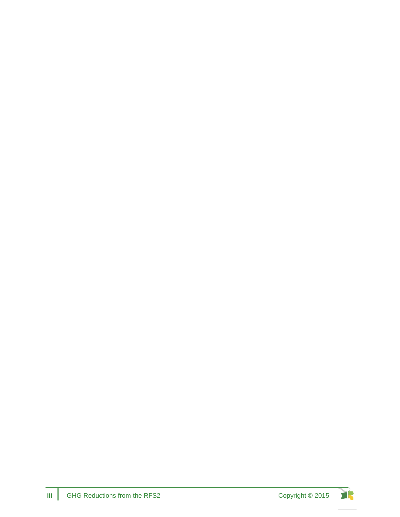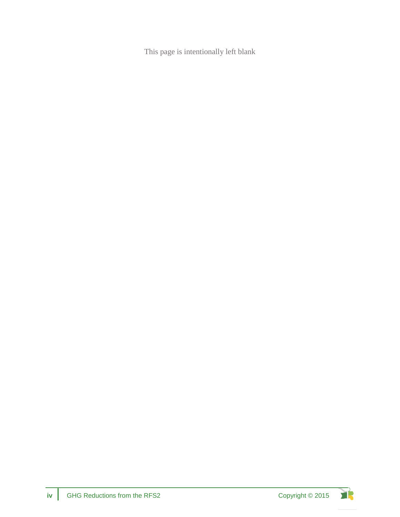This page is intentionally left blank

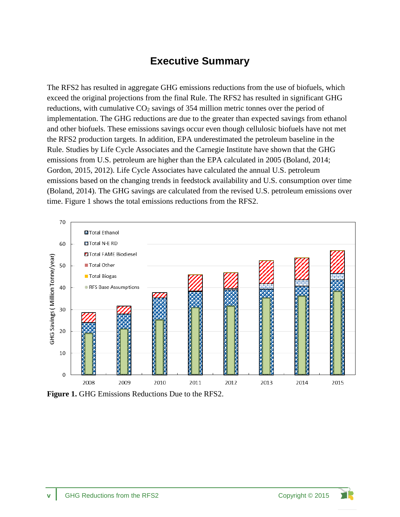## **Executive Summary**

<span id="page-6-0"></span>The RFS2 has resulted in aggregate GHG emissions reductions from the use of biofuels, which exceed the original projections from the final Rule. The RFS2 has resulted in significant GHG reductions, with cumulative  $CO<sub>2</sub>$  savings of 354 million metric tonnes over the period of implementation. The GHG reductions are due to the greater than expected savings from ethanol and other biofuels. These emissions savings occur even though cellulosic biofuels have not met the RFS2 production targets. In addition, EPA underestimated the petroleum baseline in the Rule. Studies by Life Cycle Associates and the Carnegie Institute have shown that the GHG emissions from U.S. petroleum are higher than the EPA calculated in 2005 (Boland, 2014; Gordon, 2015, 2012). Life Cycle Associates have calculated the annual U.S. petroleum emissions based on the changing trends in feedstock availability and U.S. consumption over time (Boland, 2014). The GHG savings are calculated from the revised U.S. petroleum emissions over time. [Figure 1](#page-6-1) shows the total emissions reductions from the RFS2.



<span id="page-6-1"></span>**Figure 1.** GHG Emissions Reductions Due to the RFS2.

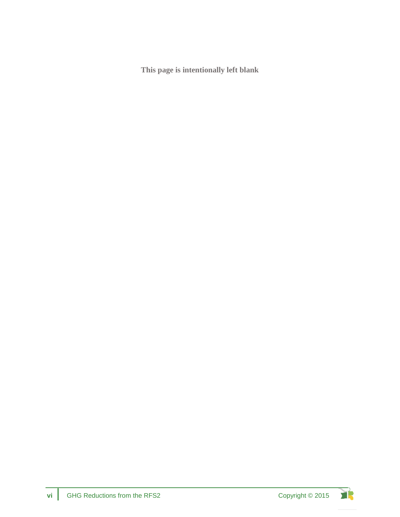**This page is intentionally left blank**

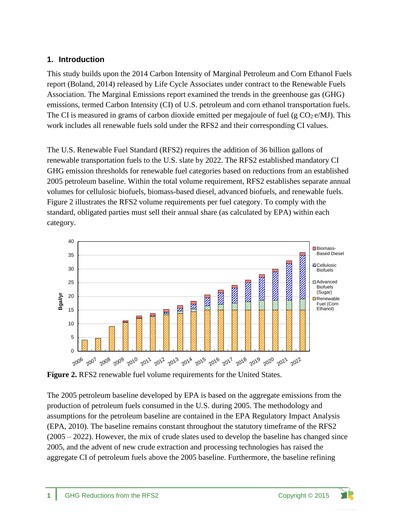#### <span id="page-8-0"></span>**1. Introduction**

This study builds upon the 2014 Carbon Intensity of Marginal Petroleum and Corn Ethanol Fuels report (Boland, 2014) released by Life Cycle Associates under contract to the Renewable Fuels Association. The Marginal Emissions report examined the trends in the greenhouse gas (GHG) emissions, termed Carbon Intensity (CI) of U.S. petroleum and corn ethanol transportation fuels. The CI is measured in grams of carbon dioxide emitted per megajoule of fuel (g  $CO<sub>2</sub>$ e/MJ). This work includes all renewable fuels sold under the RFS2 and their corresponding CI values.

The U.S. Renewable Fuel Standard (RFS2) requires the addition of 36 billion gallons of renewable transportation fuels to the U.S. slate by 2022. The RFS2 established mandatory CI GHG emission thresholds for renewable fuel categories based on reductions from an established 2005 petroleum baseline. Within the total volume requirement, RFS2 establishes separate annual volumes for cellulosic biofuels, biomass-based diesel, advanced biofuels, and renewable fuels. [Figure 2](#page-8-1) illustrates the RFS2 volume requirements per fuel category. To comply with the standard, obligated parties must sell their annual share (as calculated by EPA) within each category.



<span id="page-8-1"></span>**Figure 2.** RFS2 renewable fuel volume requirements for the United States.

The 2005 petroleum baseline developed by EPA is based on the aggregate emissions from the production of petroleum fuels consumed in the U.S. during 2005. The methodology and assumptions for the petroleum baseline are contained in the EPA Regulatory Impact Analysis (EPA, 2010). The baseline remains constant throughout the statutory timeframe of the RFS2  $(2005 - 2022)$ . However, the mix of crude slates used to develop the baseline has changed since 2005, and the advent of new crude extraction and processing technologies has raised the aggregate CI of petroleum fuels above the 2005 baseline. Furthermore, the baseline refining

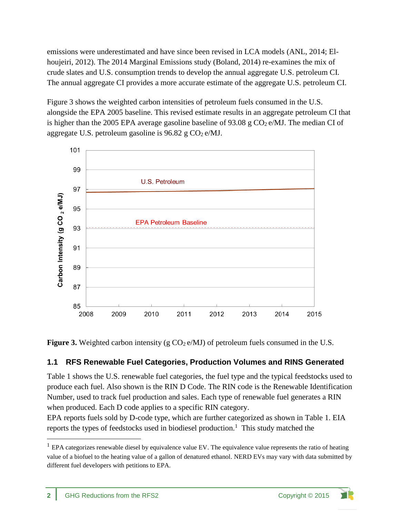emissions were underestimated and have since been revised in LCA models (ANL, 2014; Elhoujeiri, 2012). The 2014 Marginal Emissions study (Boland, 2014) re-examines the mix of crude slates and U.S. consumption trends to develop the annual aggregate U.S. petroleum CI. The annual aggregate CI provides a more accurate estimate of the aggregate U.S. petroleum CI.

[Figure 3](#page-9-1) shows the weighted carbon intensities of petroleum fuels consumed in the U.S. alongside the EPA 2005 baseline. This revised estimate results in an aggregate petroleum CI that is higher than the 2005 EPA average gasoline baseline of 93.08 g  $CO<sub>2</sub> e/MJ$ . The median CI of aggregate U.S. petroleum gasoline is  $96.82$  g  $CO<sub>2</sub> e/MJ$ .



<span id="page-9-1"></span>

#### <span id="page-9-0"></span>**1.1 RFS Renewable Fuel Categories, Production Volumes and RINS Generated**

[Table 1](#page-10-0) shows the U.S. renewable fuel categories, the fuel type and the typical feedstocks used to produce each fuel. Also shown is the RIN D Code. The RIN code is the Renewable Identification Number, used to track fuel production and sales. Each type of renewable fuel generates a RIN when produced. Each D code applies to a specific RIN category.

EPA reports fuels sold by D-code type, which are further categorized as shown in Table 1. EIA reports the types of feedstocks used in biodiesel production.<sup>1</sup> This study matched the

 $\overline{a}$ 



 $<sup>1</sup>$  EPA categorizes renewable diesel by equivalence value EV. The equivalence value represents the ratio of heating</sup> value of a biofuel to the heating value of a gallon of denatured ethanol. NERD EVs may vary with data submitted by different fuel developers with petitions to EPA.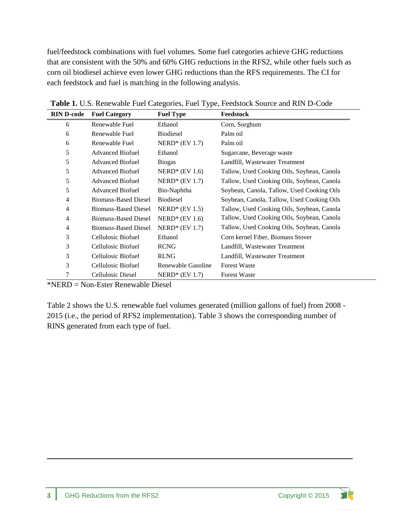fuel/feedstock combinations with fuel volumes. Some fuel categories achieve GHG reductions that are consistent with the 50% and 60% GHG reductions in the RFS2, while other fuels such as corn oil biodiesel achieve even lower GHG reductions than the RFS requirements. The CI for each feedstock and fuel is matching in the following analysis.

| <b>RIN D-code</b> | <b>Fuel Type</b><br><b>Fuel Category</b> |                    | Feedstock                                  |
|-------------------|------------------------------------------|--------------------|--------------------------------------------|
| 6                 | Renewable Fuel                           | Ethanol            | Corn, Sorghum                              |
| 6                 | Renewable Fuel                           | <b>Biodiesel</b>   | Palm oil                                   |
| 6                 | Renewable Fuel                           | $NERD* (EV 1.7)$   | Palm oil                                   |
| 5                 | <b>Advanced Biofuel</b>                  | Ethanol            | Sugarcane, Beverage waste                  |
| 5                 | <b>Advanced Biofuel</b>                  | <b>Biogas</b>      | Landfill, Wastewater Treatment             |
| 5                 | <b>Advanced Biofuel</b>                  | $NERD*$ (EV 1.6)   | Tallow, Used Cooking Oils, Soybean, Canola |
| 5                 | <b>Advanced Biofuel</b>                  | $NERD*$ (EV 1.7)   | Tallow, Used Cooking Oils, Soybean, Canola |
| 5                 | <b>Advanced Biofuel</b>                  | Bio-Naphtha        | Soybean, Canola, Tallow, Used Cooking Oils |
| 4                 | Biomass-Based Diesel                     | <b>Biodiesel</b>   | Soybean, Canola, Tallow, Used Cooking Oils |
| $\overline{4}$    | <b>Biomass-Based Diesel</b>              | $NERD*$ (EV 1.5)   | Tallow, Used Cooking Oils, Soybean, Canola |
| $\overline{4}$    | Biomass-Based Diesel                     | $NERD*$ (EV 1.6)   | Tallow, Used Cooking Oils, Soybean, Canola |
| $\overline{4}$    | <b>Biomass-Based Diesel</b>              | $NERD* (EV 1.7)$   | Tallow, Used Cooking Oils, Soybean, Canola |
| 3                 | Cellulosic Biofuel                       | Ethanol            | Corn kernel Fiber, Biomass Stover          |
| 3                 | Cellulosic Biofuel                       | <b>RCNG</b>        | Landfill, Wastewater Treatment             |
| 3                 | Cellulosic Biofuel                       | <b>RLNG</b>        | Landfill, Wastewater Treatment             |
| 3                 | Cellulosic Biofuel                       | Renewable Gasoline | <b>Forest Waste</b>                        |
| 7                 | Cellulosic Diesel                        | $NERD*$ (EV 1.7)   | <b>Forest Waste</b>                        |

<span id="page-10-0"></span>**Table 1.** U.S. Renewable Fuel Categories, Fuel Type, Feedstock Source and RIN D-Code

\*NERD = Non-Ester Renewable Diesel

[Table 2](#page-11-0) shows the U.S. renewable fuel volumes generated (million gallons of fuel) from 2008 - 2015 (i.e., the period of RFS2 implementation). [Table 3](#page-12-0) shows the corresponding number of RINS generated from each type of fuel.

 $\overline{a}$ 

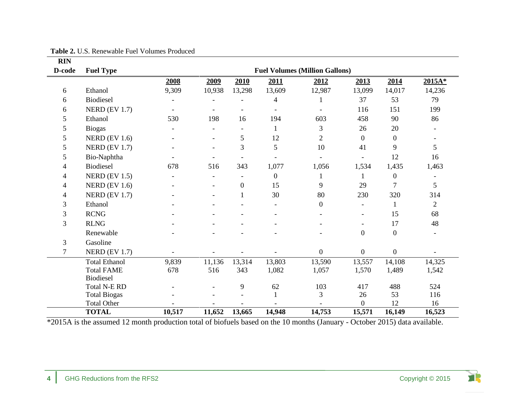<span id="page-11-0"></span>

| <b>RIN</b> |                      |        |                          |                          |                  |                                       |                          |                |                          |
|------------|----------------------|--------|--------------------------|--------------------------|------------------|---------------------------------------|--------------------------|----------------|--------------------------|
| D-code     | <b>Fuel Type</b>     |        |                          |                          |                  | <b>Fuel Volumes (Million Gallons)</b> |                          |                |                          |
|            |                      | 2008   | 2009                     | 2010                     | 2011             | 2012                                  | 2013                     | 2014           | $2015A*$                 |
| 6          | Ethanol              | 9,309  | 10,938                   | 13,298                   | 13,609           | 12,987                                | 13,099                   | 14,017         | 14,236                   |
| 6          | <b>Biodiesel</b>     |        |                          |                          | $\overline{4}$   | 1                                     | 37                       | 53             | 79                       |
| 6          | <b>NERD (EV 1.7)</b> |        |                          |                          |                  |                                       | 116                      | 151            | 199                      |
| 5          | Ethanol              | 530    | 198                      | 16                       | 194              | 603                                   | 458                      | 90             | 86                       |
| 5          | <b>Biogas</b>        |        | $\overline{\phantom{a}}$ | $\overline{\phantom{a}}$ | $\mathbf{1}$     | 3                                     | 26                       | 20             |                          |
| 5          | NERD (EV $1.6$ )     |        |                          | 5                        | 12               | $\overline{2}$                        | $\theta$                 | $\theta$       |                          |
| 5          | <b>NERD (EV 1.7)</b> |        | $\overline{a}$           | 3                        | 5                | 10                                    | 41                       | 9              | 5                        |
| 5          | Bio-Naphtha          |        | ٠                        |                          |                  |                                       | $\overline{a}$           | 12             | 16                       |
| 4          | <b>Biodiesel</b>     | 678    | 516                      | 343                      | 1,077            | 1,056                                 | 1,534                    | 1,435          | 1,463                    |
| 4          | NERD (EV $1.5$ )     |        | $\blacksquare$           | $\overline{\phantom{a}}$ | $\boldsymbol{0}$ | 1                                     | 1                        | $\mathbf{0}$   | $\overline{\phantom{a}}$ |
| 4          | NERD (EV $1.6$ )     |        | $\blacksquare$           | $\boldsymbol{0}$         | 15               | 9                                     | 29                       | $\tau$         | 5                        |
| 4          | <b>NERD (EV 1.7)</b> |        | $\overline{a}$           | 1                        | 30               | 80                                    | 230                      | 320            | 314                      |
| 3          | Ethanol              |        |                          |                          | $\blacksquare$   | $\mathbf{0}$                          | $\overline{a}$           | 1              | $\overline{2}$           |
| 3          | <b>RCNG</b>          |        |                          |                          |                  |                                       | $\overline{\phantom{a}}$ | 15             | 68                       |
| 3          | <b>RLNG</b>          |        |                          |                          |                  |                                       |                          | 17             | 48                       |
|            | Renewable            |        |                          |                          |                  |                                       | $\overline{0}$           | $\theta$       | $\overline{\phantom{a}}$ |
| 3          | Gasoline             |        |                          |                          |                  |                                       |                          |                |                          |
| 7          | <b>NERD (EV 1.7)</b> |        |                          |                          |                  | $\boldsymbol{0}$                      | $\boldsymbol{0}$         | $\overline{0}$ |                          |
|            | <b>Total Ethanol</b> | 9,839  | 11,136                   | 13,314                   | 13,803           | 13,590                                | 13,557                   | 14,108         | 14,325                   |
|            | <b>Total FAME</b>    | 678    | 516                      | 343                      | 1,082            | 1,057                                 | 1,570                    | 1,489          | 1,542                    |
|            | <b>Biodiesel</b>     |        |                          |                          |                  |                                       |                          |                |                          |
|            | <b>Total N-E RD</b>  |        |                          | 9                        | 62               | 103                                   | 417                      | 488            | 524                      |
|            | <b>Total Biogas</b>  |        |                          |                          | 1                | 3                                     | 26                       | 53             | 116                      |
|            | <b>Total Other</b>   |        |                          |                          |                  |                                       | $\overline{0}$           | 12             | 16                       |
|            | <b>TOTAL</b>         | 10,517 | 11,652                   | 13,665                   | 14,948           | 14,753                                | 15,571                   | 16,149         | 16,523                   |

**Table 2.** U.S. Renewable Fuel Volumes Produced

\*2015A is the assumed 12 month production total of biofuels based on the 10 months (January - October 2015) data available.

TR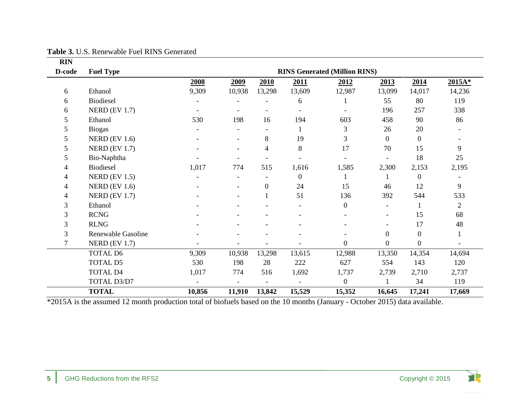<span id="page-12-0"></span>

| <b>RIN</b>     |                      |        |        |          |          |                                      |                          |                  |                          |
|----------------|----------------------|--------|--------|----------|----------|--------------------------------------|--------------------------|------------------|--------------------------|
| D-code         | <b>Fuel Type</b>     |        |        |          |          | <b>RINS Generated (Million RINS)</b> |                          |                  |                          |
|                |                      | 2008   | 2009   | 2010     | 2011     | 2012                                 | 2013                     | 2014             | 2015A*                   |
| 6              | Ethanol              | 9,309  | 10,938 | 13,298   | 13,609   | 12,987                               | 13,099                   | 14,017           | 14,236                   |
| 6              | <b>Biodiesel</b>     |        |        |          | 6        |                                      | 55                       | 80               | 119                      |
| 6              | NERD (EV $1.7$ )     |        |        |          |          |                                      | 196                      | 257              | 338                      |
| 5              | Ethanol              | 530    | 198    | 16       | 194      | 603                                  | 458                      | 90               | 86                       |
| 5              | <b>Biogas</b>        |        |        |          |          | 3                                    | 26                       | 20               | $\overline{\phantom{a}}$ |
| 5              | NERD (EV $1.6$ )     |        |        | 8        | 19       | 3                                    | $\overline{0}$           | $\theta$         |                          |
| 5              | NERD (EV $1.7$ )     |        |        | 4        | 8        | 17                                   | 70                       | 15               | 9                        |
| 5              | Bio-Naphtha          |        |        |          |          |                                      |                          | 18               | 25                       |
| 4              | Biodiesel            | 1,017  | 774    | 515      | 1,616    | 1,585                                | 2,300                    | 2,153            | 2,195                    |
| 4              | NERD (EV $1.5$ )     |        |        |          | $\theta$ |                                      |                          | $\theta$         |                          |
| 4              | NERD (EV $1.6$ )     |        |        | $\theta$ | 24       | 15                                   | 46                       | 12               | 9                        |
| 4              | NERD (EV $1.7$ )     |        |        |          | 51       | 136                                  | 392                      | 544              | 533                      |
| 3              | Ethanol              |        |        |          |          | $\overline{0}$                       | $\overline{a}$           |                  | $\mathfrak{2}$           |
| 3              | <b>RCNG</b>          |        |        |          |          |                                      | $\overline{\phantom{a}}$ | 15               | 68                       |
| 3              | <b>RLNG</b>          |        |        |          |          |                                      | $\overline{\phantom{0}}$ | 17               | 48                       |
| 3              | Renewable Gasoline   |        |        |          |          |                                      | $\boldsymbol{0}$         | $\boldsymbol{0}$ |                          |
| $\overline{7}$ | <b>NERD (EV 1.7)</b> |        |        |          |          | $\overline{0}$                       | $\boldsymbol{0}$         | $\boldsymbol{0}$ |                          |
|                | <b>TOTAL D6</b>      | 9,309  | 10,938 | 13,298   | 13,615   | 12,988                               | 13,350                   | 14,354           | 14,694                   |
|                | <b>TOTAL D5</b>      | 530    | 198    | 28       | 222      | 627                                  | 554                      | 143              | 120                      |
|                | TOTAL D4             | 1,017  | 774    | 516      | 1,692    | 1,737                                | 2,739                    | 2,710            | 2,737                    |
|                | TOTAL D3/D7          |        |        |          |          | $\boldsymbol{0}$                     |                          | 34               | 119                      |
|                | <b>TOTAL</b>         | 10,856 | 11,910 | 13,842   | 15,529   | 15,352                               | 16,645                   | 17,241           | 17,669                   |

**Table 3.** U.S. Renewable Fuel RINS Generated

\*2015A is the assumed 12 month production total of biofuels based on the 10 months (January - October 2015) data available.

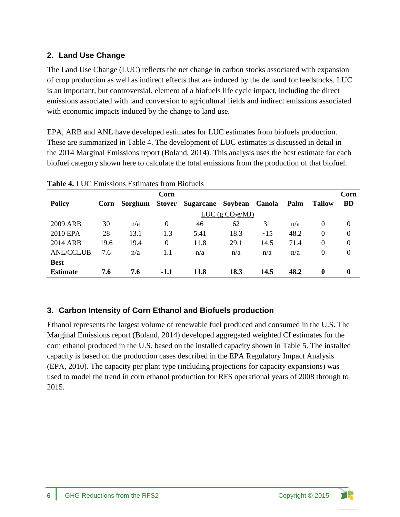#### <span id="page-13-0"></span>**2. Land Use Change**

The Land Use Change (LUC) reflects the net change in carbon stocks associated with expansion of crop production as well as indirect effects that are induced by the demand for feedstocks. LUC is an important, but controversial, element of a biofuels life cycle impact, including the direct emissions associated with land conversion to agricultural fields and indirect emissions associated with economic impacts induced by the change to land use.

EPA, ARB and ANL have developed estimates for LUC estimates from biofuels production. These are summarized in [Table 4.](#page-13-2) The development of LUC estimates is discussed in detail in the 2014 Marginal Emissions report (Boland, 2014). This analysis uses the best estimate for each biofuel category shown here to calculate the total emissions from the production of that biofuel.

|                  |                           |                | Corn             |                          |      |      |      |               | Corn             |  |
|------------------|---------------------------|----------------|------------------|--------------------------|------|------|------|---------------|------------------|--|
| <b>Policy</b>    | Corn                      | Sorghum Stover |                  | Sugarcane Soybean Canola |      |      | Palm | <b>Tallow</b> | <b>BD</b>        |  |
|                  | LUC $(g \text{CO}_2e/MJ)$ |                |                  |                          |      |      |      |               |                  |  |
| 2009 ARB         | 30                        | n/a            | $\boldsymbol{0}$ | 46                       | 62   | 31   | n/a  | $\Omega$      | $\theta$         |  |
| 2010 EPA         | 28                        | 13.1           | $-1.3$           | 5.41                     | 18.3 | ~15  | 48.2 | $\theta$      | $\boldsymbol{0}$ |  |
| 2014 ARB         | 19.6                      | 19.4           | 0                | 11.8                     | 29.1 | 14.5 | 71.4 | $\Omega$      | $\boldsymbol{0}$ |  |
| <b>ANL/CCLUB</b> | 7.6                       | n/a            | $-1.1$           | n/a                      | n/a  | n/a  | n/a  | $\Omega$      | $\theta$         |  |
| <b>Best</b>      |                           |                |                  |                          |      |      |      |               |                  |  |
| <b>Estimate</b>  | 7.6                       | 7.6            | $-1.1$           | 11.8                     | 18.3 | 14.5 | 48.2 | $\mathbf 0$   | 0                |  |

<span id="page-13-2"></span>**Table 4.** LUC Emissions Estimates from Biofuels

#### <span id="page-13-1"></span>**3. Carbon Intensity of Corn Ethanol and Biofuels production**

Ethanol represents the largest volume of renewable fuel produced and consumed in the U.S. The Marginal Emissions report (Boland, 2014) developed aggregated weighted CI estimates for the corn ethanol produced in the U.S. based on the installed capacity shown in [Table 5.](#page-14-0) The installed capacity is based on the production cases described in the EPA Regulatory Impact Analysis (EPA, 2010). The capacity per plant type (including projections for capacity expansions) was used to model the trend in corn ethanol production for RFS operational years of 2008 through to 2015.

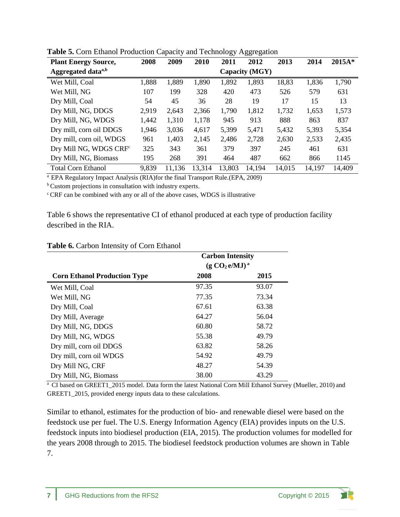| <b>Plant Energy Source,</b>        | 2008           | $\mathbf{r}$<br>2009 | 2010   | ັ<br>2011 | ັ<br>2012 | 2013   | 2014   | 2015A* |  |
|------------------------------------|----------------|----------------------|--------|-----------|-----------|--------|--------|--------|--|
| Aggregated data <sup>a,b</sup>     | Capacity (MGY) |                      |        |           |           |        |        |        |  |
| Wet Mill, Coal                     | 1,888          | 1,889                | 1,890  | 1,892     | 1,893     | 18,83  | 1,836  | 1,790  |  |
| Wet Mill, NG                       | 107            | 199                  | 328    | 420       | 473       | 526    | 579    | 631    |  |
| Dry Mill, Coal                     | 54             | 45                   | 36     | 28        | 19        | 17     | 15     | 13     |  |
| Dry Mill, NG, DDGS                 | 2,919          | 2,643                | 2,366  | 1,790     | 1,812     | 1,732  | 1,653  | 1,573  |  |
| Dry Mill, NG, WDGS                 | 1,442          | 1,310                | 1,178  | 945       | 913       | 888    | 863    | 837    |  |
| Dry mill, corn oil DDGS            | 1,946          | 3,036                | 4,617  | 5,399     | 5,471     | 5,432  | 5,393  | 5,354  |  |
| Dry mill, corn oil, WDGS           | 961            | 1,403                | 2,145  | 2,486     | 2,728     | 2,630  | 2,533  | 2,435  |  |
| Dry Mill NG, WDGS CRF <sup>c</sup> | 325            | 343                  | 361    | 379       | 397       | 245    | 461    | 631    |  |
| Dry Mill, NG, Biomass              | 195            | 268                  | 391    | 464       | 487       | 662    | 866    | 1145   |  |
| <b>Total Corn Ethanol</b>          | 9,839          | 11,136               | 13,314 | 13,803    | 14,194    | 14,015 | 14,197 | 14,409 |  |

<span id="page-14-0"></span>**Table 5.** Corn Ethanol Production Capacity and Technology Aggregation

<sup>a</sup> EPA Regulatory Impact Analysis (RIA)for the final Transport Rule.(EPA, 2009)

**b** Custom projections in consultation with industry experts.

 $\text{c}$  CRF can be combined with any or all of the above cases, WDGS is illustrative.

[Table 6](#page-14-1) shows the representative CI of ethanol produced at each type of production facility described in the RIA.

<span id="page-14-1"></span>

|                                     | <b>Carbon Intensity</b>               |       |
|-------------------------------------|---------------------------------------|-------|
|                                     | (g CO <sub>2</sub> e/MJ) <sup>a</sup> |       |
| <b>Corn Ethanol Production Type</b> | 2008                                  | 2015  |
| Wet Mill, Coal                      | 97.35                                 | 93.07 |
| Wet Mill, NG                        | 77.35                                 | 73.34 |
| Dry Mill, Coal                      | 67.61                                 | 63.38 |
| Dry Mill, Average                   | 64.27                                 | 56.04 |
| Dry Mill, NG, DDGS                  | 60.80                                 | 58.72 |
| Dry Mill, NG, WDGS                  | 55.38                                 | 49.79 |
| Dry mill, corn oil DDGS             | 63.82                                 | 58.26 |
| Dry mill, corn oil WDGS             | 54.92                                 | 49.79 |
| Dry Mill NG, CRF                    | 48.27                                 | 54.39 |
| Dry Mill, NG, Biomass               | 38.00                                 | 43.29 |

<sup>a</sup> CI based on GREET1\_2015 model. Data form the latest National Corn Mill Ethanol Survey (Mueller, 2010) and GREET1\_2015, provided energy inputs data to these calculations.

Similar to ethanol, estimates for the production of bio- and renewable diesel were based on the feedstock use per fuel. The U.S. Energy Information Agency (EIA) provides inputs on the U.S. feedstock inputs into biodiesel production (EIA, 2015). The production volumes for modelled for the years 2008 through to 2015. The biodiesel feedstock production volumes are shown in [Table](#page-15-0)  [7.](#page-15-0)

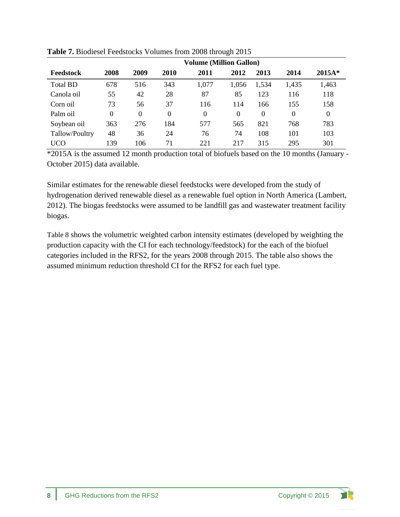|                 | <b>Volume (Million Gallon)</b> |          |          |          |          |          |          |                  |  |
|-----------------|--------------------------------|----------|----------|----------|----------|----------|----------|------------------|--|
| Feedstock       | 2008                           | 2009     | 2010     | 2011     | 2012     | 2013     | 2014     | $2015A*$         |  |
| <b>Total BD</b> | 678                            | 516      | 343      | 1,077    | 1,056    | 1,534    | 1,435    | 1,463            |  |
| Canola oil      | 55                             | 42       | 28       | 87       | 85       | 123      | 116      | 118              |  |
| Corn oil        | 73                             | 56       | 37       | 116      | 114      | 166      | 155      | 158              |  |
| Palm oil        | $\Omega$                       | $\Omega$ | $\theta$ | $\theta$ | $\theta$ | $\theta$ | $\theta$ | $\boldsymbol{0}$ |  |
| Soybean oil     | 363                            | 276      | 184      | 577      | 565      | 821      | 768      | 783              |  |
| Tallow/Poultry  | 48                             | 36       | 24       | 76       | 74       | 108      | 101      | 103              |  |
| <b>UCO</b>      | 139                            | 106      | 71       | 221      | 217      | 315      | 295      | 301              |  |

<span id="page-15-0"></span>**Table 7.** Biodiesel Feedstocks Volumes from 2008 through 2015

\*2015A is the assumed 12 month production total of biofuels based on the 10 months (January - October 2015) data available.

Similar estimates for the renewable diesel feedstocks were developed from the study of hydrogenation derived renewable diesel as a renewable fuel option in North America (Lambert, 2012). The biogas feedstocks were assumed to be landfill gas and wastewater treatment facility biogas.

[Table 8](#page-16-0) shows the volumetric weighted carbon intensity estimates (developed by weighting the production capacity with the CI for each technology/feedstock) for the each of the biofuel categories included in the RFS2, for the years 2008 through 2015. The table also shows the assumed minimum reduction threshold CI for the RFS2 for each fuel type.

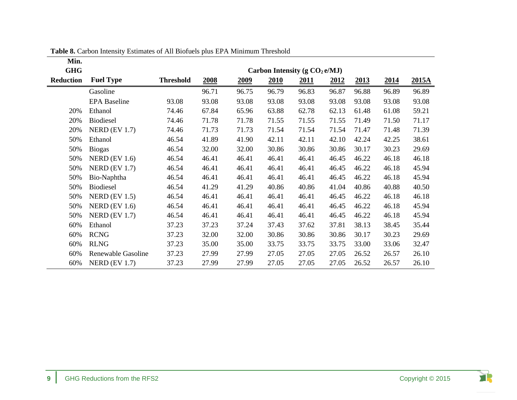<span id="page-16-0"></span>

| Min.             |                      |                                  |       |             |       |             |       |             |             |       |
|------------------|----------------------|----------------------------------|-------|-------------|-------|-------------|-------|-------------|-------------|-------|
| <b>GHG</b>       |                      | Carbon Intensity (g $CO2 e/MJ$ ) |       |             |       |             |       |             |             |       |
| <b>Reduction</b> | <b>Fuel Type</b>     | <b>Threshold</b>                 | 2008  | <u>2009</u> | 2010  | <u>2011</u> | 2012  | <u>2013</u> | <u>2014</u> | 2015A |
|                  | Gasoline             |                                  | 96.71 | 96.75       | 96.79 | 96.83       | 96.87 | 96.88       | 96.89       | 96.89 |
|                  | <b>EPA Baseline</b>  | 93.08                            | 93.08 | 93.08       | 93.08 | 93.08       | 93.08 | 93.08       | 93.08       | 93.08 |
| 20%              | Ethanol              | 74.46                            | 67.84 | 65.96       | 63.88 | 62.78       | 62.13 | 61.48       | 61.08       | 59.21 |
| 20%              | <b>Biodiesel</b>     | 74.46                            | 71.78 | 71.78       | 71.55 | 71.55       | 71.55 | 71.49       | 71.50       | 71.17 |
| 20%              | NERD (EV $1.7$ )     | 74.46                            | 71.73 | 71.73       | 71.54 | 71.54       | 71.54 | 71.47       | 71.48       | 71.39 |
| 50%              | Ethanol              | 46.54                            | 41.89 | 41.90       | 42.11 | 42.11       | 42.10 | 42.24       | 42.25       | 38.61 |
| 50%              | <b>Biogas</b>        | 46.54                            | 32.00 | 32.00       | 30.86 | 30.86       | 30.86 | 30.17       | 30.23       | 29.69 |
| 50%              | NERD $(EV 1.6)$      | 46.54                            | 46.41 | 46.41       | 46.41 | 46.41       | 46.45 | 46.22       | 46.18       | 46.18 |
| 50%              | <b>NERD (EV 1.7)</b> | 46.54                            | 46.41 | 46.41       | 46.41 | 46.41       | 46.45 | 46.22       | 46.18       | 45.94 |
| 50%              | Bio-Naphtha          | 46.54                            | 46.41 | 46.41       | 46.41 | 46.41       | 46.45 | 46.22       | 46.18       | 45.94 |
| 50%              | <b>Biodiesel</b>     | 46.54                            | 41.29 | 41.29       | 40.86 | 40.86       | 41.04 | 40.86       | 40.88       | 40.50 |
| 50%              | NERD $(EV 1.5)$      | 46.54                            | 46.41 | 46.41       | 46.41 | 46.41       | 46.45 | 46.22       | 46.18       | 46.18 |
| 50%              | NERD $(EV 1.6)$      | 46.54                            | 46.41 | 46.41       | 46.41 | 46.41       | 46.45 | 46.22       | 46.18       | 45.94 |
| 50%              | NERD (EV $1.7$ )     | 46.54                            | 46.41 | 46.41       | 46.41 | 46.41       | 46.45 | 46.22       | 46.18       | 45.94 |
| 60%              | Ethanol              | 37.23                            | 37.23 | 37.24       | 37.43 | 37.62       | 37.81 | 38.13       | 38.45       | 35.44 |
| 60%              | <b>RCNG</b>          | 37.23                            | 32.00 | 32.00       | 30.86 | 30.86       | 30.86 | 30.17       | 30.23       | 29.69 |
| 60%              | <b>RLNG</b>          | 37.23                            | 35.00 | 35.00       | 33.75 | 33.75       | 33.75 | 33.00       | 33.06       | 32.47 |
| 60%              | Renewable Gasoline   | 37.23                            | 27.99 | 27.99       | 27.05 | 27.05       | 27.05 | 26.52       | 26.57       | 26.10 |
| 60%              | NERD (EV $1.7$ )     | 37.23                            | 27.99 | 27.99       | 27.05 | 27.05       | 27.05 | 26.52       | 26.57       | 26.10 |

**Table 8.** Carbon Intensity Estimates of All Biofuels plus EPA Minimum Threshold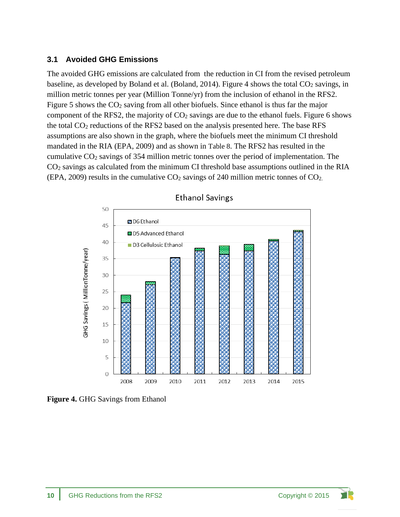#### <span id="page-17-0"></span>**3.1 Avoided GHG Emissions**

The avoided GHG emissions are calculated from the reduction in CI from the revised petroleum baseline, as developed by Boland et al. (Boland, 2014). [Figure 4](#page-17-1) shows the total  $CO<sub>2</sub>$  savings, in million metric tonnes per year (Million Tonne/yr) from the inclusion of ethanol in the RFS2. [Figure 5](#page-18-0) shows the  $CO<sub>2</sub>$  saving from all other biofuels. Since ethanol is thus far the major component of the RFS2, the majority of  $CO<sub>2</sub>$  savings are due to the ethanol fuels. [Figure 6](#page-18-1) shows the total CO<sup>2</sup> reductions of the RFS2 based on the analysis presented here. The base RFS assumptions are also shown in the graph, where the biofuels meet the minimum CI threshold mandated in the RIA (EPA, 2009) and as shown in [Table 8](#page-16-0). The RFS2 has resulted in the cumulative  $CO<sub>2</sub>$  savings of 354 million metric tonnes over the period of implementation. The CO<sup>2</sup> savings as calculated from the minimum CI threshold base assumptions outlined in the RIA (EPA, 2009) results in the cumulative  $CO_2$  savings of 240 million metric tonnes of  $CO_2$ .



**Ethanol Savings** 

<span id="page-17-1"></span>**Figure 4.** GHG Savings from Ethanol

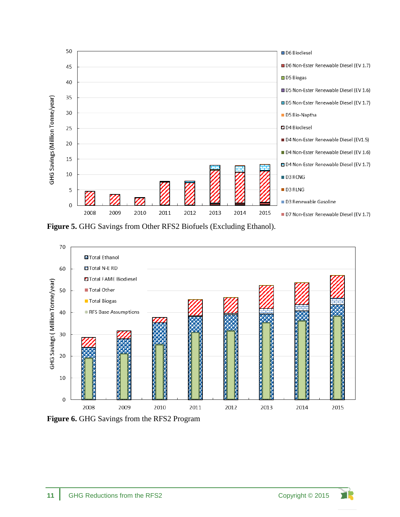

<span id="page-18-0"></span>**Figure 5.** GHG Savings from Other RFS2 Biofuels (Excluding Ethanol).



<span id="page-18-1"></span>**Figure 6.** GHG Savings from the RFS2 Program

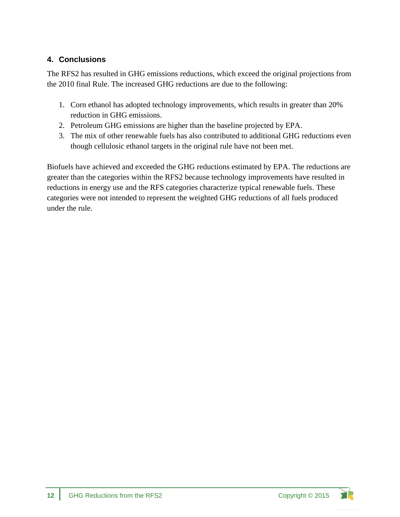#### <span id="page-19-0"></span>**4. Conclusions**

The RFS2 has resulted in GHG emissions reductions, which exceed the original projections from the 2010 final Rule. The increased GHG reductions are due to the following:

- 1. Corn ethanol has adopted technology improvements, which results in greater than 20% reduction in GHG emissions.
- 2. Petroleum GHG emissions are higher than the baseline projected by EPA.
- 3. The mix of other renewable fuels has also contributed to additional GHG reductions even though cellulosic ethanol targets in the original rule have not been met.

Biofuels have achieved and exceeded the GHG reductions estimated by EPA. The reductions are greater than the categories within the RFS2 because technology improvements have resulted in reductions in energy use and the RFS categories characterize typical renewable fuels. These categories were not intended to represent the weighted GHG reductions of all fuels produced under the rule.